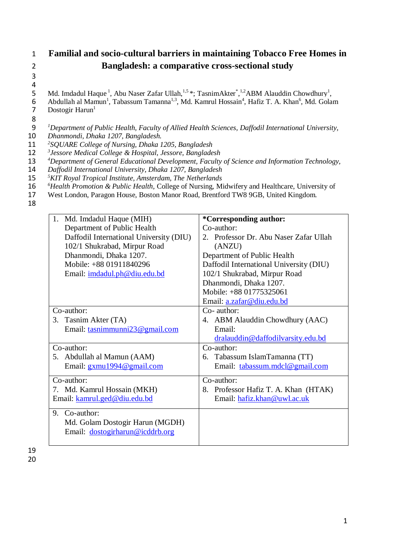## 1 **Familial and socio-cultural barriers in maintaining Tobacco Free Homes in**  2 **Bangladesh: a comparative cross-sectional study**

3

 $\frac{4}{5}$ 5 Md. Imdadul Haque<sup>1</sup>, Abu Naser Zafar Ullah,<sup>1,5\*</sup>; TasnimAkter<sup>\*</sup>,<sup>1,2</sup>ABM Alauddin Chowdhury<sup>1</sup>,

- 6 Abdullah al Mamun<sup>1</sup>, Tabassum Tamanna<sup>1,3</sup>, Md. Kamrul Hossain<sup>4</sup>, Hafiz T. A. Khan<sup>6</sup>, Md. Golam 7 Dostogir Harun<sup>1</sup>
- 

8 *<sup>1</sup>* 9 *Department of Public Health, Faculty of Allied Health Sciences, Daffodil International University,* 

10 *Dhanmondi, Dhaka 1207, Bangladesh.* 

*<sup>2</sup>* 11 *SQUARE College of Nursing, Dhaka 1205, Bangladesh <sup>3</sup>* 12 *Jessore Medical College & Hospital, Jessore, Bangladesh*

*<sup>4</sup>* 13 *Department of General Educational Development, Faculty of Science and Information Technology,* 

14 *Daffodil International University, Dhaka 1207, Bangladesh*

- *<sup>5</sup>* 15 *KIT Royal Tropical Institute, Amsterdam, The Netherlands*
- <sup>6</sup> 16 <sup>6</sup> Health Promotion & Public Health, College of Nursing, Midwifery and Healthcare, University of West London, Paragon House, Boston Manor Road, Brentford TW8 9GB, United Kingdom.

17 West London, Paragon House, Boston Manor Road, Brentford TW8 9GB, United Kingdom*.*

18

| Md. Imdadul Haque (MIH)<br>1.           | <i>*</i> Corresponding author:          |
|-----------------------------------------|-----------------------------------------|
| Department of Public Health             | Co-author:                              |
| Daffodil International University (DIU) | 2. Professor Dr. Abu Naser Zafar Ullah  |
| 102/1 Shukrabad, Mirpur Road            | (ANZU)                                  |
| Dhanmondi, Dhaka 1207.                  | Department of Public Health             |
| Mobile: +88 01911840296                 | Daffodil International University (DIU) |
| Email: imdadul.ph@diu.edu.bd            | 102/1 Shukrabad, Mirpur Road            |
|                                         | Dhanmondi, Dhaka 1207.                  |
|                                         | Mobile: +88 01775325061                 |
|                                         | Email: a.zafar@diu.edu.bd               |
| Co-author:                              | $Co-$ author:                           |
| Tasnim Akter (TA)<br>3.                 | 4. ABM Alauddin Chowdhury (AAC)         |
| Email: tasnimmunni23@gmail.com          | Email:                                  |
|                                         | dralauddin@daffodilvarsity.edu.bd       |
| Co-author:                              | Co-author:                              |
| 5. Abdullah al Mamun (AAM)              | 6. Tabassum IslamTamanna (TT)           |
| Email: gxmu1994@gmail.com               | Email: tabassum.mdcl@gmail.com          |
| Co-author:                              | Co-author:                              |
| 7. Md. Kamrul Hossain (MKH)             | 8. Professor Hafiz T. A. Khan (HTAK)    |
| Email: kamrul.ged@diu.edu.bd            | Email: hafiz.khan@uwl.ac.uk             |
| 9. Co-author:                           |                                         |
| Md. Golam Dostogir Harun (MGDH)         |                                         |
| Email: dostogirharun@icddrb.org         |                                         |
|                                         |                                         |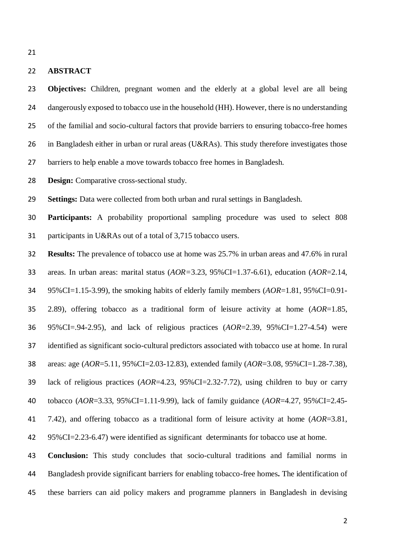## **ABSTRACT**

 **Objectives:** Children, pregnant women and the elderly at a global level are all being 24 dangerously exposed to tobacco use in the household (HH). However, there is no understanding of the familial and socio-cultural factors that provide barriers to ensuring tobacco-free homes in Bangladesh either in urban or rural areas (U&RAs). This study therefore investigates those barriers to help enable a move towards tobacco free homes in Bangladesh.

**Design:** Comparative cross-sectional study.

**Settings:** Data were collected from both urban and rural settings in Bangladesh.

 **Participants:** A probability proportional sampling procedure was used to select 808 participants in U&RAs out of a total of 3,715 tobacco users.

 **Results:** The prevalence of tobacco use at home was 25.7% in urban areas and 47.6% in rural areas. In urban areas: marital status (*AOR=*3.23, 95%CI=1.37-6.61), education (*AOR*=2.14, 95%CI=1.15-3.99), the smoking habits of elderly family members (*AOR*=1.81, 95%CI=0.91- 2.89), offering tobacco as a traditional form of leisure activity at home (*AOR*=1.85, 95%CI=.94-2.95), and lack of religious practices (*AOR*=2.39, 95%CI=1.27-4.54) were identified as significant socio-cultural predictors associated with tobacco use at home. In rural areas: age (*AOR*=5.11, 95%CI=2.03-12.83), extended family (*AOR*=3.08, 95%CI=1.28-7.38), lack of religious practices (*AOR*=4.23, 95%CI=2.32-7.72), using children to buy or carry tobacco (*AOR*=3.33, 95%CI=1.11-9.99), lack of family guidance (*AOR*=4.27, 95%CI=2.45- 7.42), and offering tobacco as a traditional form of leisure activity at home (*AOR*=3.81, 95%CI=2.23-6.47) were identified as significant determinants for tobacco use at home.

 **Conclusion:** This study concludes that socio-cultural traditions and familial norms in Bangladesh provide significant barriers for enabling tobacco-free homes**.** The identification of these barriers can aid policy makers and programme planners in Bangladesh in devising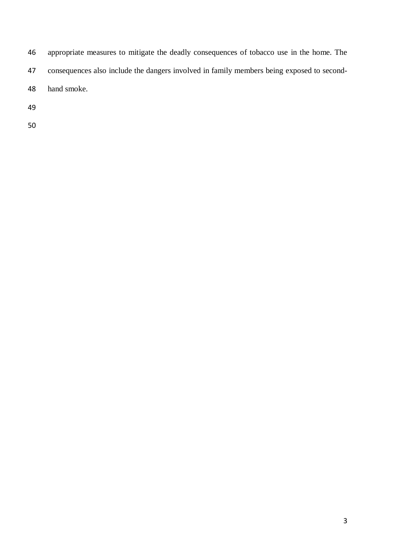- appropriate measures to mitigate the deadly consequences of tobacco use in the home. The
- consequences also include the dangers involved in family members being exposed to second-
- hand smoke.
- 
-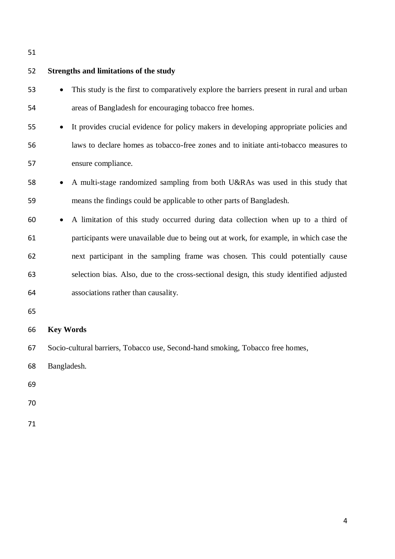| 52 | <b>Strengths and limitations of the study</b>                                                      |
|----|----------------------------------------------------------------------------------------------------|
| 53 | This study is the first to comparatively explore the barriers present in rural and urban           |
| 54 | areas of Bangladesh for encouraging tobacco free homes.                                            |
| 55 | It provides crucial evidence for policy makers in developing appropriate policies and<br>$\bullet$ |
| 56 | laws to declare homes as tobacco-free zones and to initiate anti-tobacco measures to               |
| 57 | ensure compliance.                                                                                 |
| 58 | A multi-stage randomized sampling from both U&RAs was used in this study that<br>$\bullet$         |
| 59 | means the findings could be applicable to other parts of Bangladesh.                               |
| 60 | A limitation of this study occurred during data collection when up to a third of<br>$\bullet$      |
| 61 | participants were unavailable due to being out at work, for example, in which case the             |
| 62 | next participant in the sampling frame was chosen. This could potentially cause                    |
| 63 | selection bias. Also, due to the cross-sectional design, this study identified adjusted            |
| 64 | associations rather than causality.                                                                |
| 65 |                                                                                                    |
| 66 | <b>Key Words</b>                                                                                   |
| 67 | Socio-cultural barriers, Tobacco use, Second-hand smoking, Tobacco free homes,                     |

Bangladesh.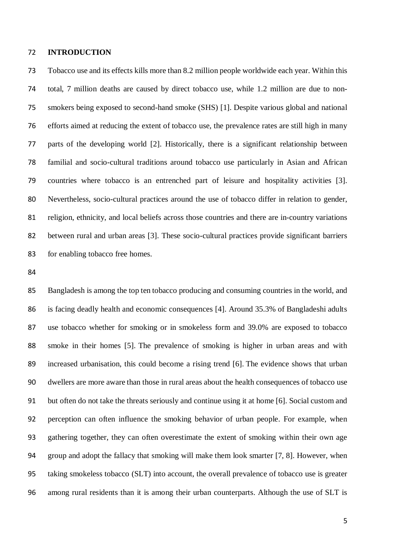#### **INTRODUCTION**

 Tobacco use and its effects kills more than 8.2 million people worldwide each year. Within this total, 7 million deaths are caused by direct tobacco use, while 1.2 million are due to non- smokers being exposed to second-hand smoke (SHS) [1]. Despite various global and national efforts aimed at reducing the extent of tobacco use, the prevalence rates are still high in many parts of the developing world [2]. Historically, there is a significant relationship between familial and socio-cultural traditions around tobacco use particularly in Asian and African countries where tobacco is an entrenched part of leisure and hospitality activities [3]. Nevertheless, socio-cultural practices around the use of tobacco differ in relation to gender, religion, ethnicity, and local beliefs across those countries and there are in-country variations between rural and urban areas [3]. These socio-cultural practices provide significant barriers for enabling tobacco free homes.

 Bangladesh is among the top ten tobacco producing and consuming countries in the world, and is facing deadly health and economic consequences [4]. Around 35.3% of Bangladeshi adults use tobacco whether for smoking or in smokeless form and 39.0% are exposed to tobacco smoke in their homes [5]. The prevalence of smoking is higher in urban areas and with increased urbanisation, this could become a rising trend [6]. The evidence shows that urban dwellers are more aware than those in rural areas about the health consequences of tobacco use but often do not take the threats seriously and continue using it at home [6]. Social custom and perception can often influence the smoking behavior of urban people. For example, when gathering together, they can often overestimate the extent of smoking within their own age group and adopt the fallacy that smoking will make them look smarter [7, 8]. However, when taking smokeless tobacco (SLT) into account, the overall prevalence of tobacco use is greater among rural residents than it is among their urban counterparts. Although the use of SLT is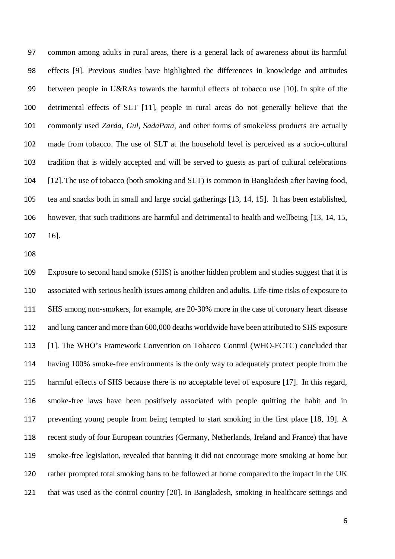common among adults in rural areas, there is a general lack of awareness about its harmful effects [9]. Previous studies have highlighted the differences in knowledge and attitudes between people in U&RAs towards the harmful effects of tobacco use [10]. In spite of the detrimental effects of SLT [11], people in rural areas do not generally believe that the commonly used *Zarda*, *Gul, SadaPata*, and other forms of smokeless products are actually made from tobacco. The use of SLT at the household level is perceived as a socio-cultural tradition that is widely accepted and will be served to guests as part of cultural celebrations [12].The use of tobacco (both smoking and SLT) is common in Bangladesh after having food, tea and snacks both in small and large social gatherings [13, 14, 15]. It has been established, however, that such traditions are harmful and detrimental to health and wellbeing [13, 14, 15, 16].

 Exposure to second hand smoke (SHS) is another hidden problem and studies suggest that it is associated with serious health issues among children and adults. Life-time risks of exposure to SHS among non-smokers, for example, are 20-30% more in the case of coronary heart disease and lung cancer and more than 600,000 deaths worldwide have been attributed to SHS exposure [1]. The WHO's Framework Convention on Tobacco Control (WHO-FCTC) concluded that having 100% smoke-free environments is the only way to adequately protect people from the harmful effects of SHS because there is no acceptable level of exposure [17]. In this regard, smoke-free laws have been positively associated with people quitting the habit and in preventing young people from being tempted to start smoking in the first place [18, 19]. A recent study of four European countries (Germany, Netherlands, Ireland and France) that have smoke-free legislation, revealed that banning it did not encourage more smoking at home but rather prompted total smoking bans to be followed at home compared to the impact in the UK that was used as the control country [20]. In Bangladesh, smoking in healthcare settings and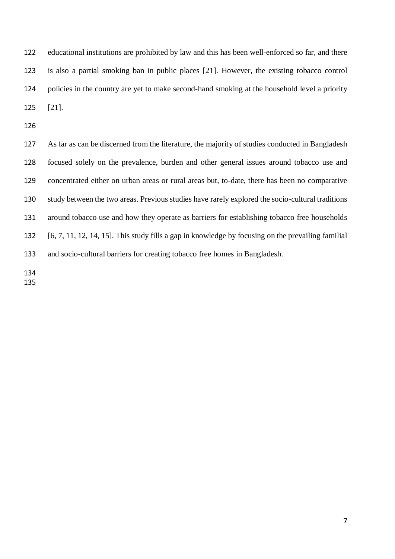educational institutions are prohibited by law and this has been well-enforced so far, and there is also a partial smoking ban in public places [21]. However, the existing tobacco control policies in the country are yet to make second-hand smoking at the household level a priority [21].

 As far as can be discerned from the literature, the majority of studies conducted in Bangladesh focused solely on the prevalence, burden and other general issues around tobacco use and concentrated either on urban areas or rural areas but, to-date, there has been no comparative study between the two areas. Previous studies have rarely explored the socio-cultural traditions around tobacco use and how they operate as barriers for establishing tobacco free households [6, 7, 11, 12, 14, 15]. This study fills a gap in knowledge by focusing on the prevailing familial and socio-cultural barriers for creating tobacco free homes in Bangladesh.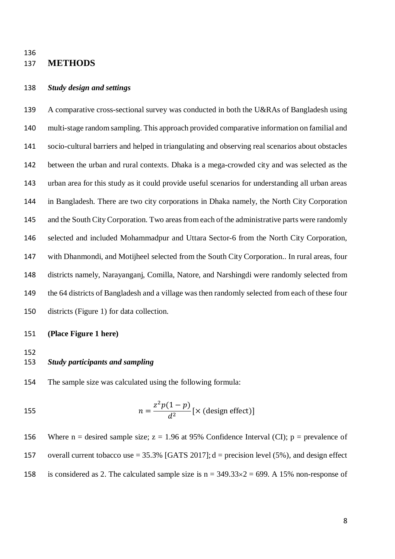## **METHODS**

#### *Study design and settings*

 A comparative cross-sectional survey was conducted in both the U&RAs of Bangladesh using multi-stage random sampling. This approach provided comparative information on familial and socio-cultural barriers and helped in triangulating and observing real scenarios about obstacles between the urban and rural contexts. Dhaka is a mega-crowded city and was selected as the urban area for this study as it could provide useful scenarios for understanding all urban areas in Bangladesh. There are two city corporations in Dhaka namely, the North City Corporation 145 and the South City Corporation. Two areas from each of the administrative parts were randomly selected and included Mohammadpur and Uttara Sector-6 from the North City Corporation, with Dhanmondi, and Motijheel selected from the South City Corporation.. In rural areas, four districts namely, Narayanganj, Comilla, Natore, and Narshingdi were randomly selected from the 64 districts of Bangladesh and a village was then randomly selected from each of these four districts (Figure 1) for data collection.

## **(Place Figure 1 here)**

- *Study participants and sampling*
- The sample size was calculated using the following formula:

155 
$$
n = \frac{z^2 p(1-p)}{d^2} [\times (\text{design effect})]
$$

156 Where n = desired sample size;  $z = 1.96$  at 95% Confidence Interval (CI); p = prevalence of overall current tobacco use = 35.3% [GATS 2017]; d = precision level (5%), and design effect 158 is considered as 2. The calculated sample size is  $n = 349.33 \times 2 = 699$ . A 15% non-response of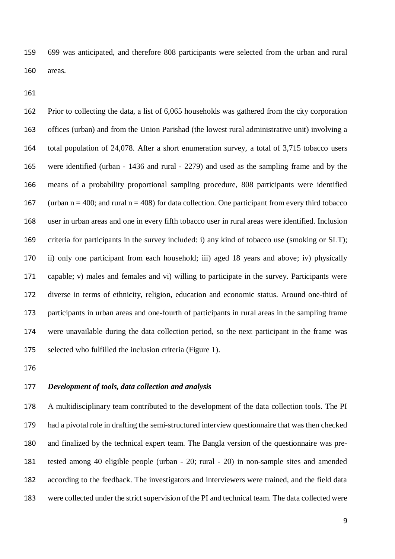699 was anticipated, and therefore 808 participants were selected from the urban and rural areas.

 Prior to collecting the data, a list of 6,065 households was gathered from the city corporation offices (urban) and from the Union Parishad (the lowest rural administrative unit) involving a total population of 24,078. After a short enumeration survey, a total of 3,715 tobacco users were identified (urban - 1436 and rural - 2279) and used as the sampling frame and by the means of a probability proportional sampling procedure, 808 participants were identified 167 (urban  $n = 400$ ; and rural  $n = 408$ ) for data collection. One participant from every third tobacco user in urban areas and one in every fifth tobacco user in rural areas were identified. Inclusion criteria for participants in the survey included: i) any kind of tobacco use (smoking or SLT); ii) only one participant from each household; iii) aged 18 years and above; iv) physically capable; v) males and females and vi) willing to participate in the survey. Participants were diverse in terms of ethnicity, religion, education and economic status. Around one-third of participants in urban areas and one-fourth of participants in rural areas in the sampling frame were unavailable during the data collection period, so the next participant in the frame was selected who fulfilled the inclusion criteria (Figure 1).

## *Development of tools, data collection and analysis*

 A multidisciplinary team contributed to the development of the data collection tools. The PI had a pivotal role in drafting the semi-structured interview questionnaire that was then checked and finalized by the technical expert team. The Bangla version of the questionnaire was pre- tested among 40 eligible people (urban - 20; rural - 20) in non-sample sites and amended according to the feedback. The investigators and interviewers were trained, and the field data were collected under the strict supervision of the PI and technical team. The data collected were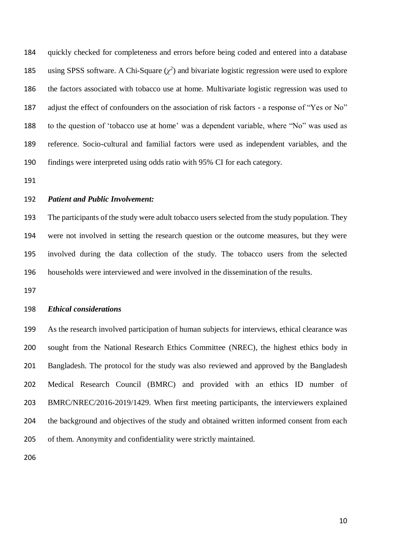quickly checked for completeness and errors before being coded and entered into a database 185 using SPSS software. A Chi-Square  $(\chi^2)$  and bivariate logistic regression were used to explore the factors associated with tobacco use at home. Multivariate logistic regression was used to adjust the effect of confounders on the association of risk factors - a response of "Yes or No" to the question of 'tobacco use at home' was a dependent variable, where "No" was used as reference. Socio-cultural and familial factors were used as independent variables, and the findings were interpreted using odds ratio with 95% CI for each category.

#### *Patient and Public Involvement:*

 The participants of the study were adult tobacco users selected from the study population. They were not involved in setting the research question or the outcome measures, but they were involved during the data collection of the study. The tobacco users from the selected households were interviewed and were involved in the dissemination of the results.

## *Ethical considerations*

 As the research involved participation of human subjects for interviews, ethical clearance was sought from the National Research Ethics Committee (NREC), the highest ethics body in Bangladesh. The protocol for the study was also reviewed and approved by the Bangladesh Medical Research Council (BMRC) and provided with an ethics ID number of BMRC/NREC/2016-2019/1429. When first meeting participants, the interviewers explained the background and objectives of the study and obtained written informed consent from each of them. Anonymity and confidentiality were strictly maintained.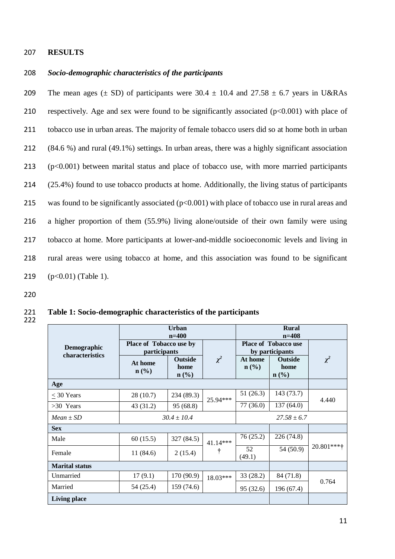#### 207 **RESULTS**

## 208 *Socio-demographic characteristics of the participants*

209 The mean ages ( $\pm$  SD) of participants were 30.4  $\pm$  10.4 and 27.58  $\pm$  6.7 years in U&RAs respectively. Age and sex were found to be significantly associated (p<0.001) with place of tobacco use in urban areas. The majority of female tobacco users did so at home both in urban (84.6 %) and rural (49.1%) settings. In urban areas, there was a highly significant association (p<0.001) between marital status and place of tobacco use, with more married participants (25.4%) found to use tobacco products at home. Additionally, the living status of participants 215 was found to be significantly associated  $(p<0.001)$  with place of tobacco use in rural areas and a higher proportion of them (55.9%) living alone/outside of their own family were using tobacco at home. More participants at lower-and-middle socioeconomic levels and living in rural areas were using tobacco at home, and this association was found to be significant (p<0.01) (Table 1).

220

221 **Table 1: Socio-demographic characteristics of the participants** 

|                                | <b>Urban</b><br>$n=400$                               |                                   |          | <b>Rural</b><br>$n=408$                        |                                                       |            |
|--------------------------------|-------------------------------------------------------|-----------------------------------|----------|------------------------------------------------|-------------------------------------------------------|------------|
| Demographic<br>characteristics | <b>Place of Tobacco use by</b><br><i>participants</i> |                                   |          | <b>Place of Tobacco use</b><br>by participants |                                                       |            |
|                                | At home<br>$n\left(\frac{6}{6}\right)$                | <b>Outside</b><br>home<br>$n$ (%) | $\chi^2$ | At home<br>$n\left(\frac{0}{0}\right)$         | <b>Outside</b><br>home<br>$n\left(\frac{0}{0}\right)$ | $\chi^2$   |
| Age                            |                                                       |                                   |          |                                                |                                                       |            |
| $\leq 30$ Years                | 28(10.7)                                              | 234 (89.3)                        | 25.94*** | 51(26.3)                                       | 143 (73.7)                                            | 4.440      |
| $>30$ Years                    | 43(31.2)                                              | 95 (68.8)                         |          | 77(36.0)                                       | 137(64.0)                                             |            |
| $Mean \pm SD$                  | $30.4 \pm 10.4$                                       |                                   |          | $27.58 \pm 6.7$                                |                                                       |            |
| <b>Sex</b>                     |                                                       |                                   |          |                                                |                                                       |            |
| Male                           | 60(15.5)                                              | 327 (84.5)                        | 41.14*** | 76(25.2)                                       | 226(74.8)                                             |            |
| Female                         | 11(84.6)                                              | 2(15.4)                           | t        | 52<br>(49.1)                                   | 54 (50.9)                                             | 20.801**** |
| <b>Marital status</b>          |                                                       |                                   |          |                                                |                                                       |            |
| Unmarried                      | 17(9.1)                                               | 170 (90.9)                        | 18.03*** | 33(28.2)                                       | 84 (71.8)                                             | 0.764      |
| Married                        | 54 (25.4)                                             | 159 (74.6)                        |          | 95 (32.6)                                      | 196 (67.4)                                            |            |
| <b>Living place</b>            |                                                       |                                   |          |                                                |                                                       |            |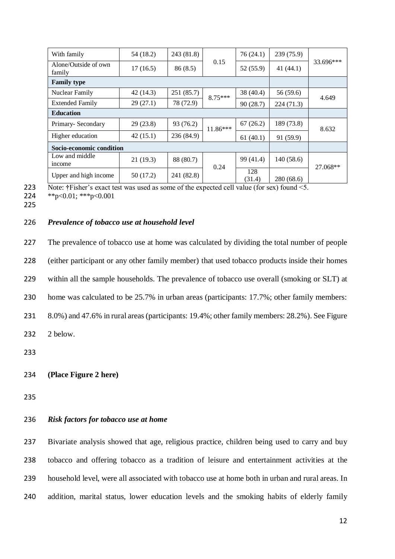| With family                    | 54 (18.2) | 243 (81.8) |            | 76(24.1)      | 239(75.9)   | 33.696*** |
|--------------------------------|-----------|------------|------------|---------------|-------------|-----------|
| Alone/Outside of own<br>family | 17(16.5)  | 86(8.5)    | 0.15       | 52 (55.9)     | 41 $(44.1)$ |           |
| <b>Family type</b>             |           |            |            |               |             |           |
| Nuclear Family                 | 42(14.3)  | 251 (85.7) | $8.75***$  | 38 (40.4)     | 56 (59.6)   | 4.649     |
| <b>Extended Family</b>         | 29(27.1)  | 78 (72.9)  |            | 90(28.7)      | 224 (71.3)  |           |
| <b>Education</b>               |           |            |            |               |             |           |
| Primary-Secondary              | 29(23.8)  | 93 (76.2)  | $11.86***$ | 67(26.2)      | 189 (73.8)  | 8.632     |
| Higher education               | 42(15.1)  | 236 (84.9) |            | 61(40.1)      | 91 (59.9)   |           |
| Socio-economic condition       |           |            |            |               |             |           |
| Low and middle<br>income       | 21(19.3)  | 88 (80.7)  | 0.24       | 99 (41.4)     | 140(58.6)   | 27.068**  |
| Upper and high income          | 50 (17.2) | 241 (82.8) |            | 128<br>(31.4) | 280 (68.6)  |           |

<sup>223</sup> Note: **†**Fisher's exact test was used as some of the expected cell value (for sex) found <5.

224 \*\*p<0.01; \*\*\*p<0.001

225

## 226 *Prevalence of tobacco use at household level*

 The prevalence of tobacco use at home was calculated by dividing the total number of people (either participant or any other family member) that used tobacco products inside their homes within all the sample households. The prevalence of tobacco use overall (smoking or SLT) at home was calculated to be 25.7% in urban areas (participants: 17.7%; other family members: 8.0%) and 47.6% in rural areas (participants: 19.4%; other family members: 28.2%). See Figure 232 2 below. 233

235

## 236 *Risk factors for tobacco use at home*

 Bivariate analysis showed that age, religious practice, children being used to carry and buy tobacco and offering tobacco as a tradition of leisure and entertainment activities at the household level, were all associated with tobacco use at home both in urban and rural areas. In addition, marital status, lower education levels and the smoking habits of elderly family

<sup>234</sup> **(Place Figure 2 here)**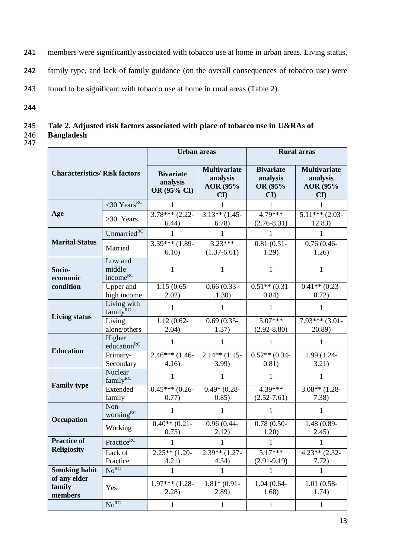- 241 members were significantly associated with tobacco use at home in urban areas. Living status,
- 242 family type, and lack of family guidance (on the overall consequences of tobacco use) were
- 243 found to be significant with tobacco use at home in rural areas (Table 2).
- 244

## 245 **Tale 2. Adjusted risk factors associated with place of tobacco use in U&RAs of Bangladesh**

| <b>Characteristics/ Risk factors</b> |                                     | <b>Urban</b> areas                          |                                                             | <b>Rural</b> areas                                      |                                                                       |  |
|--------------------------------------|-------------------------------------|---------------------------------------------|-------------------------------------------------------------|---------------------------------------------------------|-----------------------------------------------------------------------|--|
|                                      |                                     | <b>Bivariate</b><br>analysis<br>OR (95% CI) | <b>Multivariate</b><br>analysis<br>AOR (95%<br>$\mathbf{C}$ | <b>Bivariate</b><br>analysis<br>OR (95%<br>$\mathbf{C}$ | <b>Multivariate</b><br>analysis<br>AOR (95%<br>$\mathbf{C}\mathbf{I}$ |  |
|                                      | $\leq$ 30 Years <sup>RC</sup>       | 1                                           | 1                                                           | 1                                                       | 1                                                                     |  |
| Age                                  | >30 Years                           | $3.78***$ (2.22-<br>6.44)                   | $3.13**$ (1.45-<br>6.78)                                    | $4.79***$<br>$(2.76 - 8.31)$                            | $5.11***$ (2.03-<br>12.83)                                            |  |
|                                      | Unmarried <sup>RC</sup>             | 1                                           | 1                                                           | 1                                                       | 1                                                                     |  |
| <b>Marital Status</b>                | Married                             | $3.39***$ (1.89-<br>6.10                    | $3.23***$<br>$(1.37-6.61)$                                  | $0.81(0.51 -$<br>1.29)                                  | $0.76(0.46 -$<br>1.26)                                                |  |
| Socio-<br>economic                   | Low and<br>middle<br>incomeRC       | 1                                           | 1                                                           | 1                                                       | 1                                                                     |  |
| condition                            | Upper and<br>high income            | $1.15(0.65 -$<br>2.02)                      | $0.66(0.33-$<br>.1.30)                                      | $0.51**$ (0.31-<br>0.84)                                | $0.41**$ (0.23-<br>0.72)                                              |  |
| <b>Living status</b>                 | Living with<br>family <sup>RC</sup> | $\mathbf{1}$                                | 1                                                           | 1                                                       | 1                                                                     |  |
|                                      | Living<br>alone/others              | $\overline{1.12}$ (0.62-<br>2.04)           | $0.69(0.35 -$<br>1.37)                                      | $5.07***$<br>$(2.92 - 8.80)$                            | $7.93***$ (3.01-<br>20.89)                                            |  |
| <b>Education</b>                     | Higher<br>education <sup>RC</sup>   |                                             | 1                                                           |                                                         | 1                                                                     |  |
|                                      | Primary-<br>Secondary               | $2.46***(1.46-$<br>4.16)                    | $2.14**$ (1.15-<br>3.99                                     | $0.52**$ (0.34-<br>0.81)                                | 1.99 (1.24-<br>3.21)                                                  |  |
|                                      | Nuclear<br>family <sup>RC</sup>     | 1                                           | 1                                                           | 1                                                       | 1                                                                     |  |
| <b>Family type</b>                   | Extended<br>family                  | $0.45***$ (0.26-<br>0.77)                   | $0.49*(0.28 -$<br>0.85)                                     | $4.39***$<br>$(2.52 - 7.61)$                            | $3.08**$ (1.28-<br>7.38)                                              |  |
|                                      | Non-<br>workingRC                   | 1                                           | 1                                                           | $\mathbf{1}$                                            | 1                                                                     |  |
| Occupation                           | Working                             | $0.40**$ (0.21-<br>0.75)                    | $0.96(0.44 -$<br>2.12)                                      | $0.78(0.50-$<br>1.20)                                   | 1.48 (0.89-<br>2.45)                                                  |  |
| <b>Practice of</b>                   | PracticeRC                          |                                             |                                                             |                                                         |                                                                       |  |
| <b>Religiosity</b>                   | Lack of<br>Practice                 | $2.25**$ (1.20-<br>4.21)                    | $2.39**$ (1.27-<br>4.54)                                    | $5.17***$<br>$(2.91-9.19)$                              | $4.23**$ (2.32-<br>7.72)                                              |  |
| <b>Smoking habit</b>                 | No <sup>RC</sup>                    | 1                                           | 1                                                           | 1                                                       | 1                                                                     |  |
| of any elder<br>family<br>members    | Yes                                 | $1.97***$ (1.28-<br>2.28)                   | $1.81*(0.91 -$<br>2.89)                                     | $1.04(0.64 -$<br>1.68)                                  | $1.01(0.58 -$<br>1.74)                                                |  |
|                                      | No <sup>RC</sup>                    | $\mathbf{1}$                                | $\mathbf{1}$                                                | $\mathbf{1}$                                            | $\mathbf{1}$                                                          |  |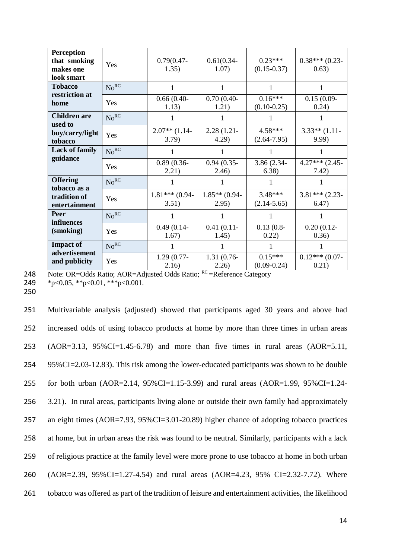| <b>Perception</b><br>that smoking<br>makes one<br>look smart | Yes              | $0.79(0.47 -$<br>1.35)    | $0.61(0.34 -$<br>1.07)   | $0.23***$<br>$(0.15 - 0.37)$ | $0.38***(0.23-$<br>0.63)  |
|--------------------------------------------------------------|------------------|---------------------------|--------------------------|------------------------------|---------------------------|
| <b>Tobacco</b>                                               | No <sup>RC</sup> | 1                         |                          |                              |                           |
| restriction at<br>home                                       | Yes              | $0.66(0.40-$<br>1.13)     | $0.70(0.40-$<br>1.21)    | $0.16***$<br>$(0.10 - 0.25)$ | $0.15(0.09 -$<br>0.24)    |
| <b>Children are</b><br>used to                               | No <sup>RC</sup> | 1                         | 1                        |                              | 1                         |
| buy/carry/light<br>tobacco                                   | Yes              | $2.07**$ (1.14-<br>3.79)  | $2.28(1.21 -$<br>4.29)   | 4.58***<br>$(2.64 - 7.95)$   | $3.33**$ (1.11-<br>9.99)  |
| <b>Lack of family</b>                                        | No <sup>RC</sup> |                           | 1                        |                              | 1                         |
| guidance                                                     | Yes              | $0.89(0.36-$<br>2.21)     | $0.94(0.35 -$<br>(2.46)  | 3.86 (2.34-<br>6.38)         | $4.27***$ (2.45-<br>7.42) |
| <b>Offering</b><br>tobacco as a                              | No <sup>RC</sup> |                           |                          |                              |                           |
| tradition of<br>entertainment                                | Yes              | $1.81***$ (0.94-<br>3.51) | $1.85**$ (0.94-<br>2.95) | $3.48***$<br>$(2.14 - 5.65)$ | $3.81***$ (2.23-<br>6.47) |
| <b>Peer</b><br>influences<br>(smoking)                       | No <sup>RC</sup> |                           |                          |                              | 1                         |
|                                                              | Yes              | $0.49(0.14-$<br>1.67)     | $0.41(0.11-$<br>1.45)    | $0.13(0.8 -$<br>0.22)        | $0.20(0.12 -$<br>0.36)    |
| <b>Impact of</b>                                             | No <sup>RC</sup> |                           |                          |                              |                           |
| advertisement<br>and publicity                               | Yes              | $1.29(0.77-$<br>2.16)     | 1.31 (0.76-<br>2.26)     | $0.15***$<br>$(0.09 - 0.24)$ | $0.12***$ (0.07-<br>0.21) |

248 Note: OR=Odds Ratio; AOR=Adjusted Odds Ratio; <sup>RC</sup> =Reference Category 249 \*p<0.05, \*\*p<0.01, \*\*\*p<0.001.

249<br>250

| 251 | Multivariable analysis (adjusted) showed that participants aged 30 years and above had               |
|-----|------------------------------------------------------------------------------------------------------|
| 252 | increased odds of using tobacco products at home by more than three times in urban areas             |
| 253 | $(AOR=3.13, 95\%CI=1.45-6.78)$ and more than five times in rural areas $(AOR=5.11, 9.12)$            |
| 254 | 95%CI=2.03-12.83). This risk among the lower-educated participants was shown to be double            |
| 255 | for both urban (AOR=2.14, 95%CI=1.15-3.99) and rural areas (AOR=1.99, 95%CI=1.24-                    |
| 256 | 3.21). In rural areas, participants living alone or outside their own family had approximately       |
| 257 | an eight times $(AOR=7.93, 95\%CI=3.01-20.89)$ higher chance of adopting tobacco practices           |
| 258 | at home, but in urban areas the risk was found to be neutral. Similarly, participants with a lack    |
| 259 | of religious practice at the family level were more prone to use tobacco at home in both urban       |
| 260 | $(AOR=2.39, 95\%CI=1.27-4.54)$ and rural areas $(AOR=4.23, 95\% CI=2.32-7.72)$ . Where               |
| 261 | tobacco was offered as part of the tradition of leisure and entertainment activities, the likelihood |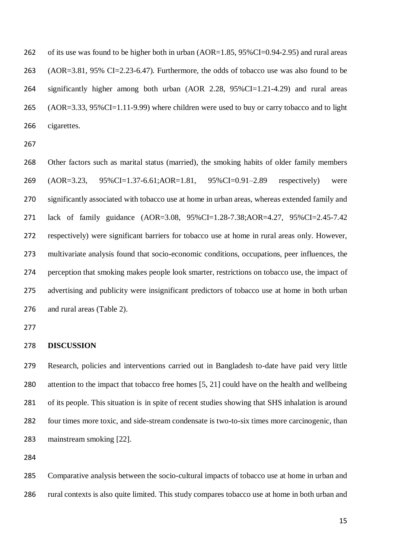262 of its use was found to be higher both in urban (AOR=1.85, 95%CI=0.94-2.95) and rural areas (AOR=3.81, 95% CI=2.23-6.47). Furthermore, the odds of tobacco use was also found to be significantly higher among both urban (AOR 2.28, 95%CI=1.21-4.29) and rural areas (AOR=3.33, 95%CI=1.11-9.99) where children were used to buy or carry tobacco and to light cigarettes.

 Other factors such as marital status (married), the smoking habits of older family members (AOR=3.23, 95%CI=1.37-6.61;AOR=1.81, 95%CI=0.91–2.89 respectively) were significantly associated with tobacco use at home in urban areas, whereas extended family and lack of family guidance (AOR=3.08, 95%CI=1.28-7.38;AOR=4.27, 95%CI=2.45-7.42 respectively) were significant barriers for tobacco use at home in rural areas only. However, multivariate analysis found that socio-economic conditions, occupations, peer influences, the perception that smoking makes people look smarter, restrictions on tobacco use, the impact of advertising and publicity were insignificant predictors of tobacco use at home in both urban and rural areas (Table 2).

## **DISCUSSION**

 Research, policies and interventions carried out in Bangladesh to-date have paid very little attention to the impact that tobacco free homes [5, 21] could have on the health and wellbeing of its people. This situation is in spite of recent studies showing that SHS inhalation is around four times more toxic, and side-stream condensate is two-to-six times more carcinogenic, than mainstream smoking [22].

 Comparative analysis between the socio-cultural impacts of tobacco use at home in urban and rural contexts is also quite limited. This study compares tobacco use at home in both urban and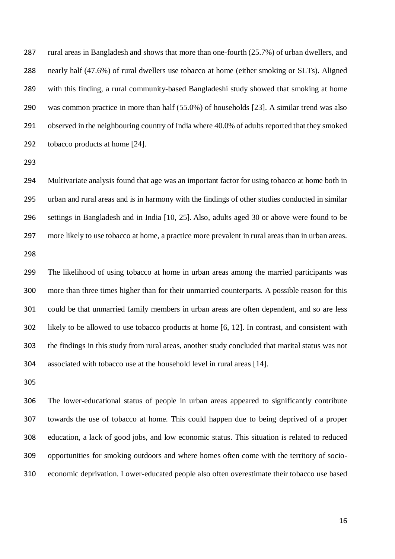rural areas in Bangladesh and shows that more than one-fourth (25.7%) of urban dwellers, and nearly half (47.6%) of rural dwellers use tobacco at home (either smoking or SLTs). Aligned with this finding, a rural community-based Bangladeshi study showed that smoking at home was common practice in more than half (55.0%) of households [23]. A similar trend was also observed in the neighbouring country of India where 40.0% of adults reported that they smoked tobacco products at home [24].

 Multivariate analysis found that age was an important factor for using tobacco at home both in urban and rural areas and is in harmony with the findings of other studies conducted in similar settings in Bangladesh and in India [10, 25]. Also, adults aged 30 or above were found to be more likely to use tobacco at home, a practice more prevalent in rural areas than in urban areas. 

 The likelihood of using tobacco at home in urban areas among the married participants was more than three times higher than for their unmarried counterparts. A possible reason for this could be that unmarried family members in urban areas are often dependent, and so are less likely to be allowed to use tobacco products at home [6, 12]. In contrast, and consistent with the findings in this study from rural areas, another study concluded that marital status was not associated with tobacco use at the household level in rural areas [14].

 The lower-educational status of people in urban areas appeared to significantly contribute towards the use of tobacco at home. This could happen due to being deprived of a proper education, a lack of good jobs, and low economic status. This situation is related to reduced opportunities for smoking outdoors and where homes often come with the territory of socio-economic deprivation. Lower-educated people also often overestimate their tobacco use based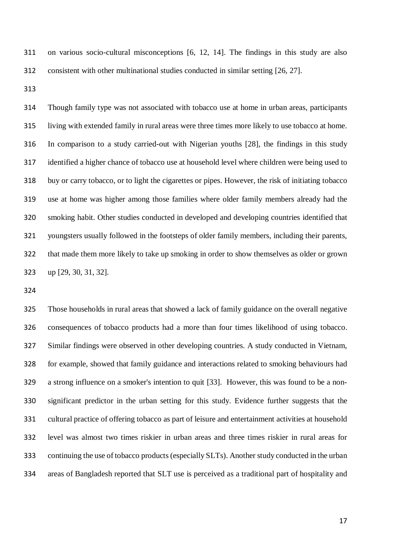on various socio-cultural misconceptions [6, 12, 14]. The findings in this study are also consistent with other multinational studies conducted in similar setting [26, 27].

 Though family type was not associated with tobacco use at home in urban areas, participants living with extended family in rural areas were three times more likely to use tobacco at home. In comparison to a study carried-out with Nigerian youths [28], the findings in this study identified a higher chance of tobacco use at household level where children were being used to buy or carry tobacco, or to light the cigarettes or pipes. However, the risk of initiating tobacco use at home was higher among those families where older family members already had the smoking habit. Other studies conducted in developed and developing countries identified that youngsters usually followed in the footsteps of older family members, including their parents, that made them more likely to take up smoking in order to show themselves as older or grown up [29, 30, 31, 32].

 Those households in rural areas that showed a lack of family guidance on the overall negative consequences of tobacco products had a more than four times likelihood of using tobacco. Similar findings were observed in other developing countries. A study conducted in Vietnam, for example, showed that family guidance and interactions related to smoking behaviours had a strong influence on a smoker's intention to quit [33]. However, this was found to be a non- significant predictor in the urban setting for this study. Evidence further suggests that the cultural practice of offering tobacco as part of leisure and entertainment activities at household level was almost two times riskier in urban areas and three times riskier in rural areas for continuing the use of tobacco products(especially SLTs). Another study conducted in the urban areas of Bangladesh reported that SLT use is perceived as a traditional part of hospitality and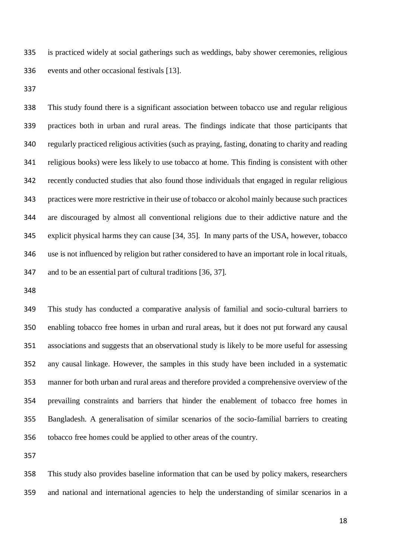is practiced widely at social gatherings such as weddings, baby shower ceremonies, religious events and other occasional festivals [13].

 This study found there is a significant association between tobacco use and regular religious practices both in urban and rural areas. The findings indicate that those participants that regularly practiced religious activities (such as praying, fasting, donating to charity and reading religious books) were less likely to use tobacco at home. This finding is consistent with other recently conducted studies that also found those individuals that engaged in regular religious practices were more restrictive in their use of tobacco or alcohol mainly because such practices are discouraged by almost all conventional religions due to their addictive nature and the explicit physical harms they can cause [34, 35]. In many parts of the USA, however, tobacco use is not influenced by religion but rather considered to have an important role in local rituals, and to be an essential part of cultural traditions [36, 37].

 This study has conducted a comparative analysis of familial and socio-cultural barriers to enabling tobacco free homes in urban and rural areas, but it does not put forward any causal associations and suggests that an observational study is likely to be more useful for assessing any causal linkage. However, the samples in this study have been included in a systematic manner for both urban and rural areas and therefore provided a comprehensive overview of the prevailing constraints and barriers that hinder the enablement of tobacco free homes in Bangladesh. A generalisation of similar scenarios of the socio-familial barriers to creating tobacco free homes could be applied to other areas of the country.

 This study also provides baseline information that can be used by policy makers, researchers and national and international agencies to help the understanding of similar scenarios in a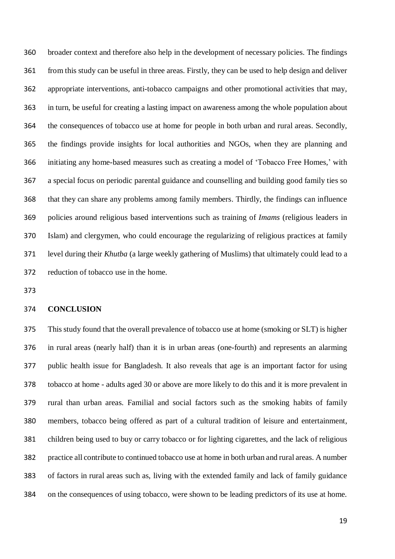broader context and therefore also help in the development of necessary policies. The findings from this study can be useful in three areas. Firstly, they can be used to help design and deliver appropriate interventions, anti-tobacco campaigns and other promotional activities that may, in turn, be useful for creating a lasting impact on awareness among the whole population about the consequences of tobacco use at home for people in both urban and rural areas. Secondly, the findings provide insights for local authorities and NGOs, when they are planning and initiating any home-based measures such as creating a model of 'Tobacco Free Homes,' with a special focus on periodic parental guidance and counselling and building good family ties so that they can share any problems among family members. Thirdly, the findings can influence policies around religious based interventions such as training of *Imams* (religious leaders in Islam) and clergymen, who could encourage the regularizing of religious practices at family level during their *Khutba* (a large weekly gathering of Muslims) that ultimately could lead to a reduction of tobacco use in the home.

## **CONCLUSION**

 This study found that the overall prevalence of tobacco use at home (smoking or SLT) is higher in rural areas (nearly half) than it is in urban areas (one-fourth) and represents an alarming public health issue for Bangladesh. It also reveals that age is an important factor for using tobacco at home - adults aged 30 or above are more likely to do this and it is more prevalent in rural than urban areas. Familial and social factors such as the smoking habits of family members, tobacco being offered as part of a cultural tradition of leisure and entertainment, children being used to buy or carry tobacco or for lighting cigarettes, and the lack of religious practice all contribute to continued tobacco use at home in both urban and rural areas. A number of factors in rural areas such as, living with the extended family and lack of family guidance on the consequences of using tobacco, were shown to be leading predictors of its use at home.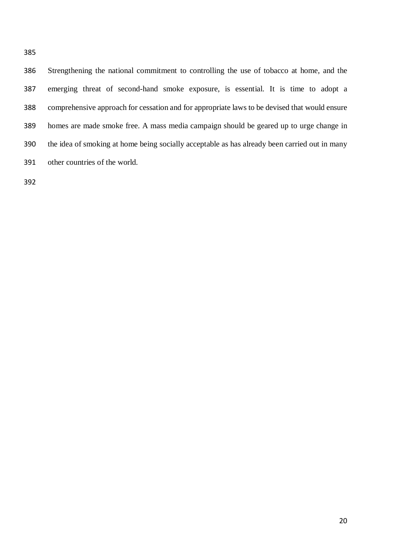Strengthening the national commitment to controlling the use of tobacco at home, and the emerging threat of second-hand smoke exposure, is essential. It is time to adopt a comprehensive approach for cessation and for appropriate laws to be devised that would ensure homes are made smoke free. A mass media campaign should be geared up to urge change in the idea of smoking at home being socially acceptable as has already been carried out in many other countries of the world.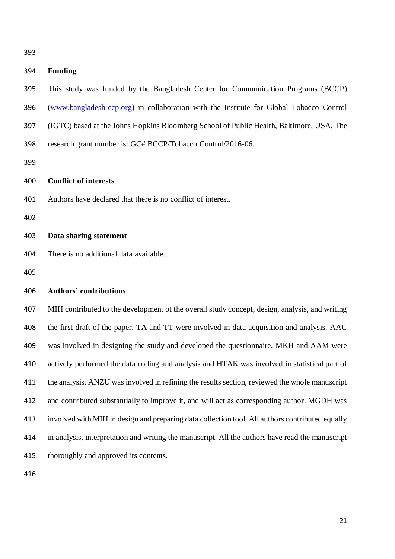# **Funding** This study was funded by the Bangladesh Center for Communication Programs (BCCP) [\(www.bangladesh-ccp.org\)](http://www.bangladesh-ccp.org/) in collaboration with the Institute for Global Tobacco Control (IGTC) based at the Johns Hopkins Bloomberg School of Public Health, Baltimore, USA. The research grant number is: GC# BCCP/Tobacco Control/2016-06. **Conflict of interests**  Authors have declared that there is no conflict of interest. **Data sharing statement** There is no additional data available. **Authors' contributions** MIH contributed to the development of the overall study concept, design, analysis, and writing the first draft of the paper. TA and TT were involved in data acquisition and analysis. AAC was involved in designing the study and developed the questionnaire. MKH and AAM were actively performed the data coding and analysis and HTAK was involved in statistical part of the analysis. ANZU was involved in refining the results section, reviewed the whole manuscript and contributed substantially to improve it, and will act as corresponding author. MGDH was involved with MIH in design and preparing data collection tool. All authors contributed equally in analysis, interpretation and writing the manuscript. All the authors have read the manuscript thoroughly and approved its contents.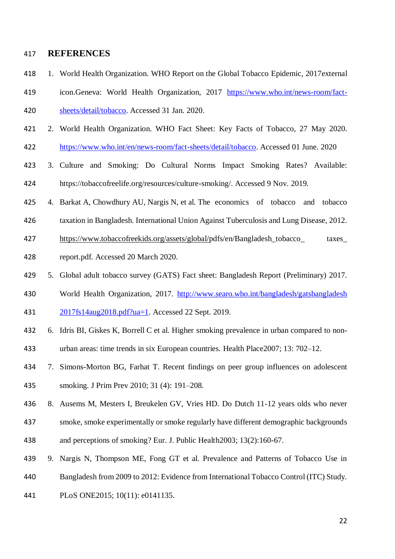## **REFERENCES**

- 1. World Health Organization. [WHO Report on the Global Tobacco Epidemic, 2017external](https://www.who.int/tobacco/global_report/2017/en/)
- [icon.](https://www.who.int/tobacco/global_report/2017/en/)Geneva: World Health Organization, 2017 [https://www.who.int/news-room/fact-](https://www.who.int/news-room/fact-sheets/detail/tobacco)[sheets/detail/tobacco.](https://www.who.int/news-room/fact-sheets/detail/tobacco) Accessed 31 Jan. 2020.
- 2. World Health Organization. WHO Fact Sheet: Key Facts of Tobacco, 27 May 2020. [https://www.who.int/en/news-room/fact-sheets/detail/tobacco.](https://www.who.int/en/news-room/fact-sheets/detail/tobacco) Accessed 01 June. 2020
- 3. Culture and Smoking: Do Cultural Norms Impact Smoking Rates? Available: [https://tobaccofreelife.org/resources/culture-smoking/.](https://tobaccofreelife.org/resources/culture-smoking/) Accessed 9 Nov. 2019.
- 4. Barkat A, Chowdhury AU, Nargis N, et al. The economics of tobacco and tobacco
- taxation in Bangladesh. International Union Against Tuberculosis and Lung Disease, 2012.
- [https://www.tobaccofreekids.org/assets/global/p](https://www.tobaccofreekids.org/assets/global/)dfs/en/Bangladesh tobacco taxes
- report.pdf. Accessed 20 March 2020.
- 5. Global adult tobacco survey (GATS) Fact sheet: Bangladesh Report (Preliminary) 2017.
- World Health Organization, 2017. [http://www.searo.who.int/bangladesh/gatsbangladesh](http://www.searo.who.int/bangladesh/gatsbangladesh%202017fs14aug2018.pdf?ua=1)
- [2017fs14aug2018.pdf?ua=1.](http://www.searo.who.int/bangladesh/gatsbangladesh%202017fs14aug2018.pdf?ua=1) Accessed 22 Sept. 2019.
- 6. Idris BI, Giskes K, Borrell C et al. Higher smoking prevalence in urban compared to non-urban areas: time trends in six European countries. Health Place2007; 13: 702–12.
- 7. Simons-Morton BG, Farhat T. Recent findings on peer group influences on adolescent
- smoking. [J Prim Prev](https://www.ncbi.nlm.nih.gov/pubmed/20614184) 2010; 31 (4): 191–208.
- 8. Ausems M, Mesters I, Breukelen GV, Vries HD. Do Dutch 11-12 years olds who never
- smoke, smoke experimentally or smoke regularly have different demographic backgrounds
- and perceptions of smoking? Eur. J. Public Health2003; 13(2):160-67.
- 9. Nargis N, Thompson ME, Fong GT et al. Prevalence and Patterns of Tobacco Use in
- Bangladesh from 2009 to 2012: Evidence from International Tobacco Control (ITC) Study.
- PLoS ONE2015; 10(11): e0141135.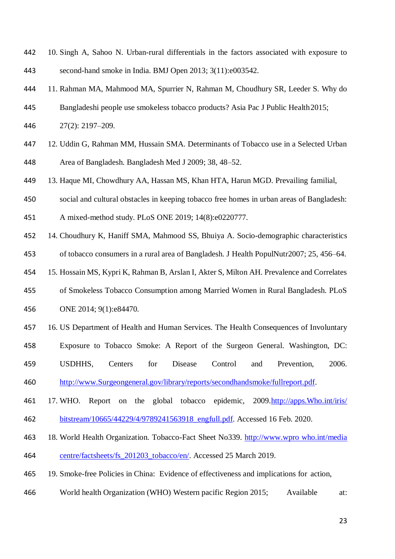- 10. Singh A, Sahoo N. Urban-rural differentials in the factors associated with exposure to second-hand smoke in India. BMJ Open 2013; 3(11):e003542.
- 11. Rahman MA, Mahmood MA, Spurrier N, [Rahman M,](https://www.ncbi.nlm.nih.gov/pubmed/?term=Rahman%20M%5BAuthor%5D&cauthor=true&cauthor_uid=22652250) [Choudhury SR,](https://www.ncbi.nlm.nih.gov/pubmed/?term=Choudhury%20SR%5BAuthor%5D&cauthor=true&cauthor_uid=22652250) [Leeder S.](https://www.ncbi.nlm.nih.gov/pubmed/?term=Leeder%20S%5BAuthor%5D&cauthor=true&cauthor_uid=22652250) Why do
- Bangladeshi people use smokeless tobacco products? Asia Pac J Public Health2015;
- 27(2): 2197–209.
- 12. Uddin G, Rahman MM, Hussain SMA. Determinants of Tobacco use in a Selected Urban Area of Bangladesh. Bangladesh Med J 2009; 38, 48–52.
- 13. Haque MI, Chowdhury AA, Hassan MS, Khan HTA, Harun MGD. Prevailing familial,
- social and cultural obstacles in keeping tobacco free homes in urban areas of Bangladesh:
- A mixed-method study. PLoS ONE 2019; 14(8):e0220777.
- 14. Choudhury K, Haniff SMA, Mahmood SS, Bhuiya A. Socio-demographic characteristics of tobacco consumers in a rural area of Bangladesh. J Health PopulNutr2007; 25, 456–64.
- 15. Hossain MS, Kypri K, Rahman B, Arslan I, Akter S, Milton AH. Prevalence and Correlates
- of Smokeless Tobacco Consumption among Married Women in Rural Bangladesh. PLoS ONE 2014; 9(1):e84470.
- 16. US Department of Health and Human Services. The Health Consequences of Involuntary
- Exposure to Tobacco Smoke: A Report of the Surgeon General. Washington, DC:
- USDHHS, Centers for Disease Control and Prevention, 2006.
- [http://www.Surgeongeneral.gov/library/reports/secondhandsmoke/fullreport.pdf.](http://www.surgeongeneral.gov/library/reports/secondhandsmoke/fullreport.pdf)
- 17. WHO. Report on the global tobacco epidemic, 2009[.http://apps.Who.int/iris/](http://apps.who.int/iris/%20bitstream/10665/44229/4/9789241563918_engfull.pdf)
- [bitstream/10665/44229/4/9789241563918\\_engfull.pdf.](http://apps.who.int/iris/%20bitstream/10665/44229/4/9789241563918_engfull.pdf) Accessed 16 Feb. 2020.
- 18. World Health Organization. Tobacco-Fact Sheet No339. http://www.wpro who.int/media centre/factsheets/fs\_201203\_tobacco/en/. Accessed 25 March 2019.
- 19. Smoke-free Policies in China: Evidence of effectiveness and implications for action,
- World health Organization (WHO) Western pacific Region 2015; Available at: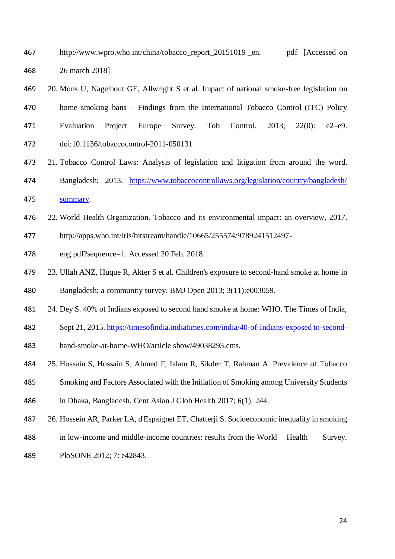- 467 http://www.wpro.who.int/china/tobacco\_report\_20151019 en. pdf [Accessed on 26 march 2018]
- 20. Mons U, Nagelhout GE, Allwright S et al. Impact of national smoke-free legislation on home smoking bans – Findings from the International Tobacco Control (ITC) Policy Evaluation Project Europe Survey. Tob Control. 2013; 22(0): e2–e9. doi:10.1136/tobaccocontrol-2011-050131
- 21. Tobacco Control Laws: Analysis of legislation and litigation from around the word. Bangladesh; 2013. [https://www.tobaccocontrollaws.org/legislation/country/bangladesh/](https://www.tobaccocontrollaws.org/legislation/country/bangladesh/%20summary)
- [summary.](https://www.tobaccocontrollaws.org/legislation/country/bangladesh/%20summary)
- 22. World Health Organization. Tobacco and its environmental impact: an overview, 2017.
- [http://apps.](http://apps/)who.int/iris/bitstream/handle/10665/255574/9789241512497-
- eng.pdf?sequence=1. Accessed 20 Feb. 2018.
- 23. Ullah ANZ, Huque R, Akter S et al. Children's exposure to second-hand smoke at home in Bangladesh: a community survey. BMJ Open 2013; 3(11):e003059.
- 24. Dey S. 40% of Indians exposed to second hand smoke at home: WHO. The Times of India,
- Sept 21, 2015. [https://timesofindia.indiatimes.com/india/40-of-Indians-exposed to-second-](https://timesofindia.indiatimes.com/india/40-of-Indians-exposed%20to-second-)
- hand-smoke-at-home-WHO/article show/49038293.cms.
- 25. [Hossain](https://www.ncbi.nlm.nih.gov/pubmed/?term=Hossain%20S%5BAuthor%5D&cauthor=true&cauthor_uid=29138736) S, [Hossain](https://www.ncbi.nlm.nih.gov/pubmed/?term=Hossain%20S%5BAuthor%5D&cauthor=true&cauthor_uid=29138736) S, [Ahmed](https://www.ncbi.nlm.nih.gov/pubmed/?term=Ahmed%20F%5BAuthor%5D&cauthor=true&cauthor_uid=29138736) F, [Islam](https://www.ncbi.nlm.nih.gov/pubmed/?term=Islam%20R%5BAuthor%5D&cauthor=true&cauthor_uid=29138736) R, [Sikder](https://www.ncbi.nlm.nih.gov/pubmed/?term=Sikder%20T%5BAuthor%5D&cauthor=true&cauthor_uid=29138736) T, [Rahman](https://www.ncbi.nlm.nih.gov/pubmed/?term=Rahman%20A%5BAuthor%5D&cauthor=true&cauthor_uid=29138736) A. Prevalence of Tobacco
- Smoking and Factors Associated with the Initiation of Smoking among University Students
- in Dhaka, Bangladesh. [Cent Asian J Glob Health](https://www.ncbi.nlm.nih.gov/pmc/articles/PMC5675390/) 2017; 6(1): 244.
- 26. Hossein AR, Parker LA, d'Espaignet ET, Chatterji S. Socioeconomic inequality in smoking
- in low-income and middle-income countries: results from the World Health Survey.
- PloSONE 2012; 7: e42843.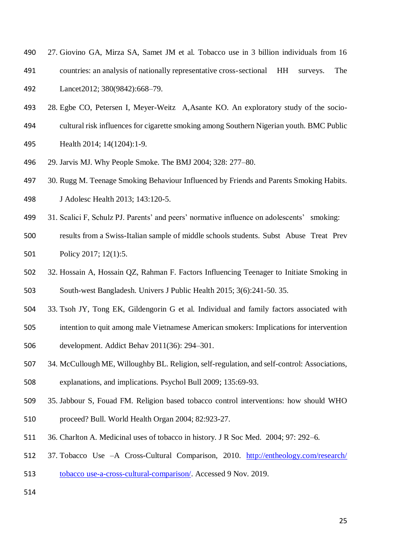- 27. Giovino GA, Mirza SA, Samet JM et al. Tobacco use in 3 billion individuals from 16
- countries: an analysis of nationally representative cross-sectional HH surveys. The

Lancet2012; 380(9842):668–79.

- 28. [Egbe](https://bmcpublichealth.biomedcentral.com/articles/10.1186/1471-2458-14-1204#auth-1) CO, [Petersen](https://bmcpublichealth.biomedcentral.com/articles/10.1186/1471-2458-14-1204#auth-2) I, [Meyer-Weitz](https://bmcpublichealth.biomedcentral.com/articles/10.1186/1471-2458-14-1204#auth-3) A[,Asante](https://bmcpublichealth.biomedcentral.com/articles/10.1186/1471-2458-14-1204#auth-4) KO. An exploratory study of the socio-
- cultural risk influences for cigarette smoking among Southern Nigerian youth. [BMC Public](https://bmcpublichealth.biomedcentral.com/)
- [Health](https://bmcpublichealth.biomedcentral.com/) 2014; 14(1204):1-9.
- 29. Jarvis MJ. Why People Smoke. The BMJ 2004; 328: 277–80.
- 30. Rugg M. Teenage Smoking Behaviour Influenced by Friends and Parents Smoking Habits. J Adolesc Health 2013; 143:120-5.
- 31. Scalici F, Schulz PJ. Parents' and peers' normative influence on adolescents' smoking:
- results from a Swiss-Italian sample of middle schools students. Subst [Abuse Treat Prev](https://www.ncbi.nlm.nih.gov/pubmed/28109189)  [Policy](https://www.ncbi.nlm.nih.gov/pubmed/28109189) 2017; 12(1):5.
- 32. Hossain A, Hossain QZ, Rahman F. Factors Influencing Teenager to Initiate Smoking in South-west Bangladesh. Univers J Public Health 2015; 3(6):241-50. 35.
- 33. Tsoh JY, Tong EK, Gildengorin G et al. Individual and family factors associated with
- intention to quit among male Vietnamese American smokers: Implications for intervention development. [Addict Behav](https://www.ncbi.nlm.nih.gov/pmc/articles/PMC3056150/) 2011(36): 294–301.
- 34. McCullough ME, Willoughby BL. Religion, self-regulation, and self-control: Associations, explanations, and implications. Psychol Bull 2009; 135:69-93.
- 35. Jabbour S, Fouad FM. Religion based tobacco control interventions: how should WHO
- proceed? Bull. World Health Organ 2004; 82:923-27.
- 36. Charlton A. Medicinal uses of tobacco in history. J R Soc Med. 2004; 97: 292–6.
- 37. Tobacco Use –A Cross-Cultural Comparison, 2010. [http://entheology.com/research/](http://entheology.com/research/%20tobacco%20use-a-cross-cultural-comparison/)
- [tobacco use-a-cross-cultural-comparison/.](http://entheology.com/research/%20tobacco%20use-a-cross-cultural-comparison/) Accessed 9 Nov. 2019.
-